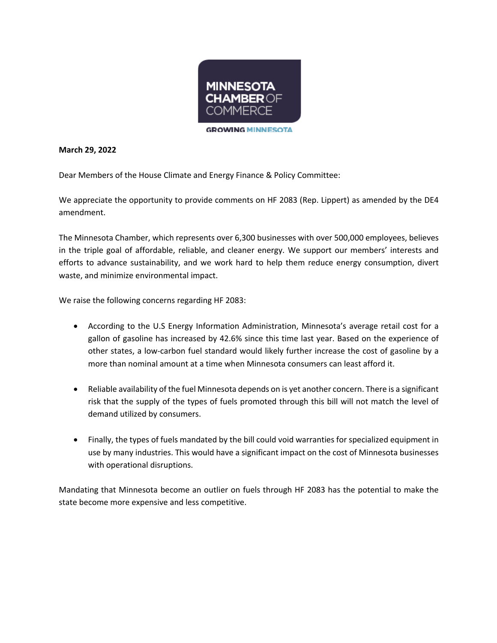

## **March 29, 2022**

Dear Members of the House Climate and Energy Finance & Policy Committee:

We appreciate the opportunity to provide comments on HF 2083 (Rep. Lippert) as amended by the DE4 amendment.

The Minnesota Chamber, which represents over 6,300 businesses with over 500,000 employees, believes in the triple goal of affordable, reliable, and cleaner energy. We support our members' interests and efforts to advance sustainability, and we work hard to help them reduce energy consumption, divert waste, and minimize environmental impact.

We raise the following concerns regarding HF 2083:

- According to the U.S Energy Information Administration, Minnesota's average retail cost for a gallon of gasoline has increased by 42.6% since this time last year. Based on the experience of other states, a low-carbon fuel standard would likely further increase the cost of gasoline by a more than nominal amount at a time when Minnesota consumers can least afford it.
- Reliable availability of the fuel Minnesota depends on is yet another concern. There is a significant risk that the supply of the types of fuels promoted through this bill will not match the level of demand utilized by consumers.
- Finally, the types of fuels mandated by the bill could void warranties for specialized equipment in use by many industries. This would have a significant impact on the cost of Minnesota businesses with operational disruptions.

Mandating that Minnesota become an outlier on fuels through HF 2083 has the potential to make the state become more expensive and less competitive.